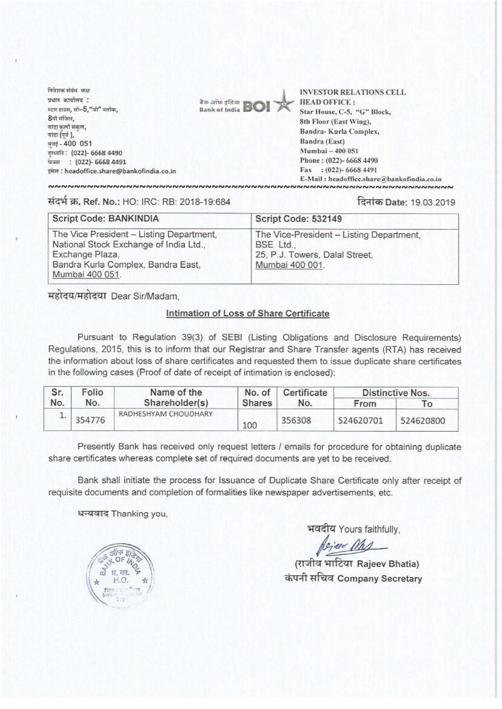निवेशक संबंध कथ  $x$ यान कार्यालय $\therefore$ स्टार डाउस, सी $-5$ ,"जी" क्लॉक, 8ची मंजिल, बांडा कर्ला संकल, बांडा (पर्व), मुंबई - 400 051 . (022)-66684490  $\overline{u}$ क्स : (022)- 6668 4491 इमेल : headoffice.share@bankofindia.co.in



INVESTOR RELATIONS CELL Star House, C-5, "G" Block, 8th Floor (East Wing), Bandra- Kurla Complex, Bandra (East) Mumbai- 400 051 Phone : (022)- 6668 4490 Fax : (022)- 6668 4491 E-Mail : hcadofficc.share®bankofindia.co.in

tic fl W.Ref. No.: HO: IRC: RB: 2018-19:684 qriice, Date: 1a03.2019

| Script Code: BANKINDIA                                                                                                                                         | Script Code: 532149                                                                                        |  |  |  |
|----------------------------------------------------------------------------------------------------------------------------------------------------------------|------------------------------------------------------------------------------------------------------------|--|--|--|
| The Vice President - Listing Department,<br>National Stock Exchange of India Ltd.,<br>Exchange Plaza,<br>Bandra Kurla Complex, Bandra East,<br>Mumbai 400 051. | The Vice-President - Listing Department,<br>BSE Ltd.,<br>25, P.J. Towers, Dalal Street,<br>Mumbai 400 001. |  |  |  |

महोदय/महोदया Dear Sir/Madam,

## Intimation of Loss of Share Certificate

Pursuant to Regulation 39(3) of SEBI (Listing Obligations and Disclosure Requirements) Regulations, 2015, this is to inform that our Registrar and Share Transfer agents (RTA) has received the information about loss of share certificates and requested them to issue duplicate share certificates in the following cases (Proof of date of receipt of intimation is enclosed)

| Sr.<br>No. | Folio<br>No. | Name of the<br>Shareholder(s) | No. of<br><b>Shares</b> | Certificate<br>No. | Distinctive Nos. |                  |
|------------|--------------|-------------------------------|-------------------------|--------------------|------------------|------------------|
|            |              |                               |                         |                    | From             | $T_{\mathbf{O}}$ |
|            | 354776       | RADHESHYAM CHOUDHARY          | 100                     | 356308             | 524620701        | 524620800        |

Presently Bank has received only request letters / emails for procedure for obtaining duplicate share certificates whereas complete set of required documents are yet to be received.

Bank shall initiate the process for Issuance of Duplicate Share Certificate only after receipt of requisite documents and completion of formalities like newspaper advertisements, etc.

धन्यवाद Thanking you,

भवदीय Yours faithfully,

*| <u>| किल्फ साह्य</u>*<br>(राजीव भाटिया Rajeev Bhatia) ciauti**les Company Secretary**